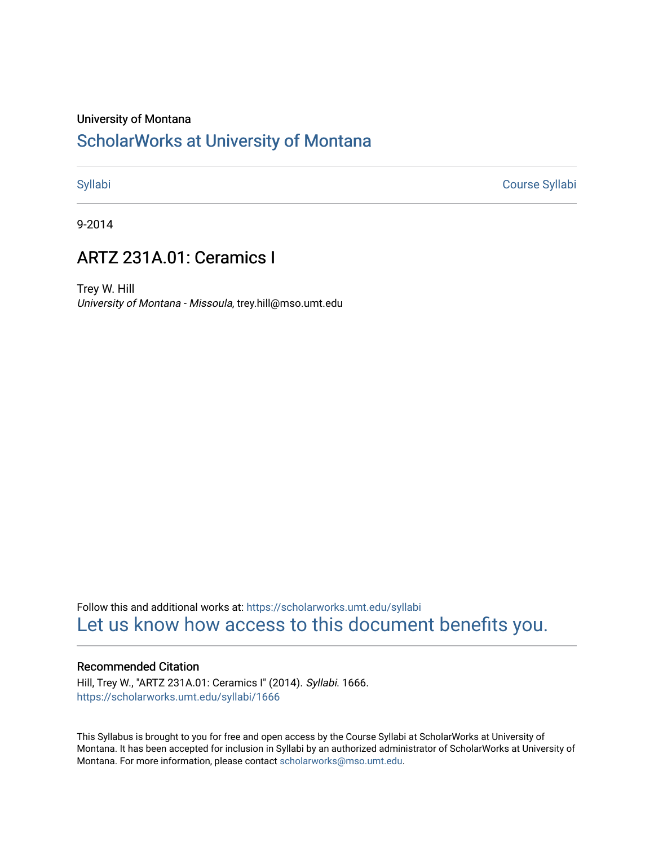#### University of Montana

# [ScholarWorks at University of Montana](https://scholarworks.umt.edu/)

[Syllabi](https://scholarworks.umt.edu/syllabi) [Course Syllabi](https://scholarworks.umt.edu/course_syllabi) 

9-2014

# ARTZ 231A.01: Ceramics I

Trey W. Hill University of Montana - Missoula, trey.hill@mso.umt.edu

Follow this and additional works at: [https://scholarworks.umt.edu/syllabi](https://scholarworks.umt.edu/syllabi?utm_source=scholarworks.umt.edu%2Fsyllabi%2F1666&utm_medium=PDF&utm_campaign=PDFCoverPages)  [Let us know how access to this document benefits you.](https://goo.gl/forms/s2rGfXOLzz71qgsB2) 

#### Recommended Citation

Hill, Trey W., "ARTZ 231A.01: Ceramics I" (2014). Syllabi. 1666. [https://scholarworks.umt.edu/syllabi/1666](https://scholarworks.umt.edu/syllabi/1666?utm_source=scholarworks.umt.edu%2Fsyllabi%2F1666&utm_medium=PDF&utm_campaign=PDFCoverPages)

This Syllabus is brought to you for free and open access by the Course Syllabi at ScholarWorks at University of Montana. It has been accepted for inclusion in Syllabi by an authorized administrator of ScholarWorks at University of Montana. For more information, please contact [scholarworks@mso.umt.edu.](mailto:scholarworks@mso.umt.edu)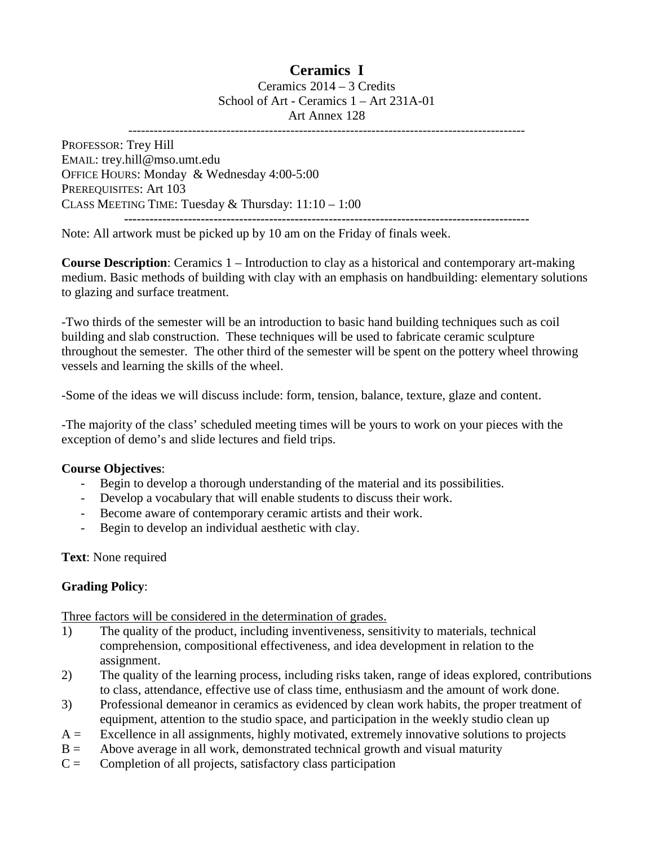# **Ceramics I**

Ceramics 2014 – 3 Credits School of Art - Ceramics 1 – Art 231A-01 Art Annex 128 ---------------------------------------------------------------------------------------------

PROFESSOR: Trey Hill EMAIL: trey.hill@mso.umt.edu OFFICE HOURS: Monday & Wednesday 4:00-5:00 PREREQUISITES: Art 103 CLASS MEETING TIME: Tuesday & Thursday: 11:10 – 1:00 **-----------------------------------------------------------------------------------------------**

Note: All artwork must be picked up by 10 am on the Friday of finals week.

**Course Description**: Ceramics 1 – Introduction to clay as a historical and contemporary art-making medium. Basic methods of building with clay with an emphasis on handbuilding: elementary solutions to glazing and surface treatment.

-Two thirds of the semester will be an introduction to basic hand building techniques such as coil building and slab construction. These techniques will be used to fabricate ceramic sculpture throughout the semester. The other third of the semester will be spent on the pottery wheel throwing vessels and learning the skills of the wheel.

-Some of the ideas we will discuss include: form, tension, balance, texture, glaze and content.

-The majority of the class' scheduled meeting times will be yours to work on your pieces with the exception of demo's and slide lectures and field trips.

### **Course Objectives**:

- Begin to develop a thorough understanding of the material and its possibilities.
- Develop a vocabulary that will enable students to discuss their work.
- Become aware of contemporary ceramic artists and their work.
- Begin to develop an individual aesthetic with clay.

# **Text**: None required

# **Grading Policy**:

Three factors will be considered in the determination of grades.

- 1) The quality of the product, including inventiveness, sensitivity to materials, technical comprehension, compositional effectiveness, and idea development in relation to the assignment.
- 2) The quality of the learning process, including risks taken, range of ideas explored, contributions to class, attendance, effective use of class time, enthusiasm and the amount of work done.
- 3) Professional demeanor in ceramics as evidenced by clean work habits, the proper treatment of equipment, attention to the studio space, and participation in the weekly studio clean up
- $A =$  Excellence in all assignments, highly motivated, extremely innovative solutions to projects
- $B =$  Above average in all work, demonstrated technical growth and visual maturity
- $C =$  Completion of all projects, satisfactory class participation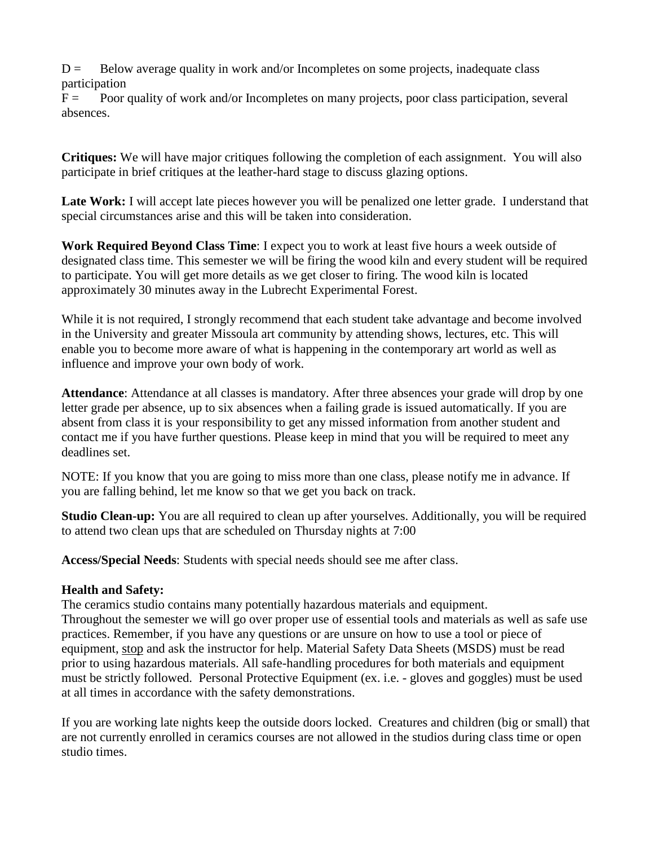$D =$  Below average quality in work and/or Incompletes on some projects, inadequate class participation

 $F =$  Poor quality of work and/or Incompletes on many projects, poor class participation, several absences.

**Critiques:** We will have major critiques following the completion of each assignment. You will also participate in brief critiques at the leather-hard stage to discuss glazing options.

Late Work: I will accept late pieces however you will be penalized one letter grade. I understand that special circumstances arise and this will be taken into consideration.

**Work Required Beyond Class Time**: I expect you to work at least five hours a week outside of designated class time. This semester we will be firing the wood kiln and every student will be required to participate. You will get more details as we get closer to firing. The wood kiln is located approximately 30 minutes away in the Lubrecht Experimental Forest.

While it is not required, I strongly recommend that each student take advantage and become involved in the University and greater Missoula art community by attending shows, lectures, etc. This will enable you to become more aware of what is happening in the contemporary art world as well as influence and improve your own body of work.

**Attendance**: Attendance at all classes is mandatory. After three absences your grade will drop by one letter grade per absence, up to six absences when a failing grade is issued automatically. If you are absent from class it is your responsibility to get any missed information from another student and contact me if you have further questions. Please keep in mind that you will be required to meet any deadlines set.

NOTE: If you know that you are going to miss more than one class, please notify me in advance. If you are falling behind, let me know so that we get you back on track.

**Studio Clean-up:** You are all required to clean up after yourselves. Additionally, you will be required to attend two clean ups that are scheduled on Thursday nights at 7:00

**Access/Special Needs**: Students with special needs should see me after class.

# **Health and Safety:**

The ceramics studio contains many potentially hazardous materials and equipment. Throughout the semester we will go over proper use of essential tools and materials as well as safe use practices. Remember, if you have any questions or are unsure on how to use a tool or piece of equipment, stop and ask the instructor for help. Material Safety Data Sheets (MSDS) must be read prior to using hazardous materials. All safe-handling procedures for both materials and equipment must be strictly followed. Personal Protective Equipment (ex. i.e. - gloves and goggles) must be used at all times in accordance with the safety demonstrations.

If you are working late nights keep the outside doors locked. Creatures and children (big or small) that are not currently enrolled in ceramics courses are not allowed in the studios during class time or open studio times.